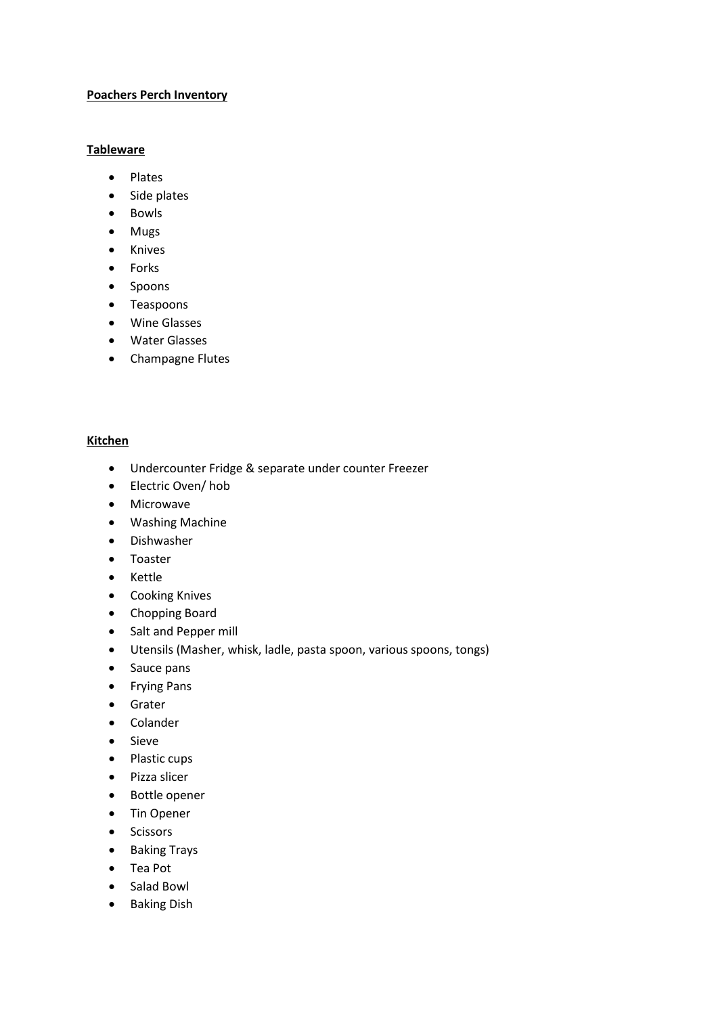### **Poachers Perch Inventory**

# **Tableware**

- Plates
- Side plates
- Bowls
- Mugs
- Knives
- Forks
- Spoons
- Teaspoons
- Wine Glasses
- Water Glasses
- Champagne Flutes

#### **Kitchen**

- Undercounter Fridge & separate under counter Freezer
- Electric Oven/ hob
- Microwave
- Washing Machine
- Dishwasher
- Toaster
- Kettle
- Cooking Knives
- Chopping Board
- Salt and Pepper mill
- Utensils (Masher, whisk, ladle, pasta spoon, various spoons, tongs)
- Sauce pans
- Frying Pans
- Grater
- Colander
- Sieve
- Plastic cups
- Pizza slicer
- Bottle opener
- Tin Opener
- Scissors
- Baking Trays
- Tea Pot
- Salad Bowl
- Baking Dish